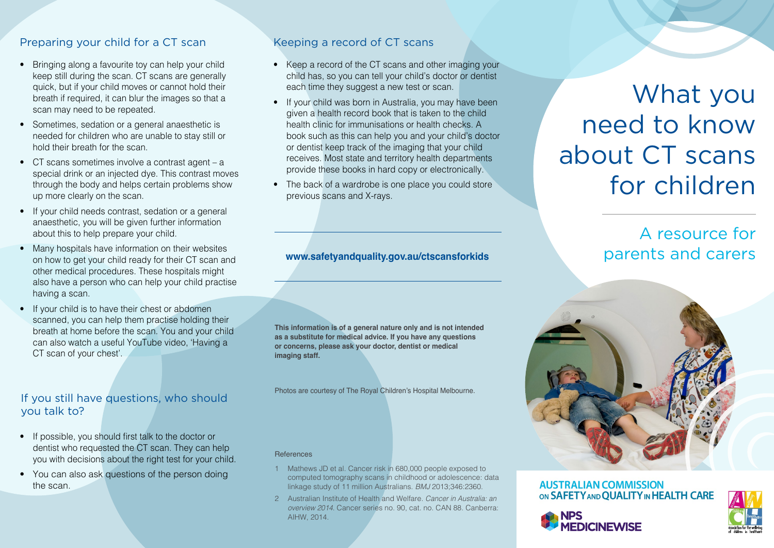# Preparing your child for a CT scan

- Bringing along a favourite toy can help your child keep still during the scan. CT scans are generally quick, but if your child moves or cannot hold their breath if required, it can blur the images so that a scan may need to be repeated.
- Sometimes, sedation or a general anaesthetic is needed for children who are unable to stay still or hold their breath for the scan.
- CT scans sometimes involve a contrast agent a special drink or an injected dye. This contrast moves through the body and helps certain problems show up more clearly on the scan.
- If your child needs contrast, sedation or a general anaesthetic, you will be given further information about this to help prepare your child.
- Many hospitals have information on their websites on how to get your child ready for their CT scan and other medical procedures. These hospitals might also have a person who can help your child practise having a scan.
- If your child is to have their chest or abdomen scanned, you can help them practise holding their breath at home before the scan. You and your child can also watch a useful YouTube video, 'Having a CT scan of your chest'.

# If you still have questions, who should you talk to?

- If possible, you should first talk to the doctor or dentist who requested the CT scan. They can help you with decisions about the right test for your child.
- You can also ask questions of the person doing the scan.

# Keeping a record of CT scans

- Keep a record of the CT scans and other imaging your child has, so you can tell your child's doctor or dentist each time they suggest a new test or scan.
- If your child was born in Australia, you may have been given a health record book that is taken to the child health clinic for immunisations or health checks. A book such as this can help you and your child's doctor or dentist keep track of the imaging that your child receives. Most state and territory health departments provide these books in hard copy or electronically.
- The back of a wardrobe is one place you could store previous scans and X-rays.

#### **[www.safetyandquality.gov.au/ctscansfor](http://www.safetyandquality.gov.au/CTscansforkids)kids**

**This information is of a general nature only and is not intended as a substitute for medical advice. If you have any questions or concerns, please ask your doctor, dentist or medical imaging staff.** 

Photos are courtesy of The Royal Children's Hospital Melbourne.

**References** 

- 1 Mathews JD et al. Cancer risk in 680,000 people exposed to computed tomography scans in childhood or adolescence: data linkage study of 11 million Australians. *BMJ* 2013;346:2360.
- 2 Australian Institute of Health and Welfare. *Cancer in Australia: an overview 2014*. Cancer series no. 90, cat. no. CAN 88. Canberra: AIHW, 2014.

# What you need to know about CT scans for children

# A resource for parents and carers



#### **AUSTRALIAN COMMISSION** ON SAFETY AND QUALITY IN HEALTH CARE